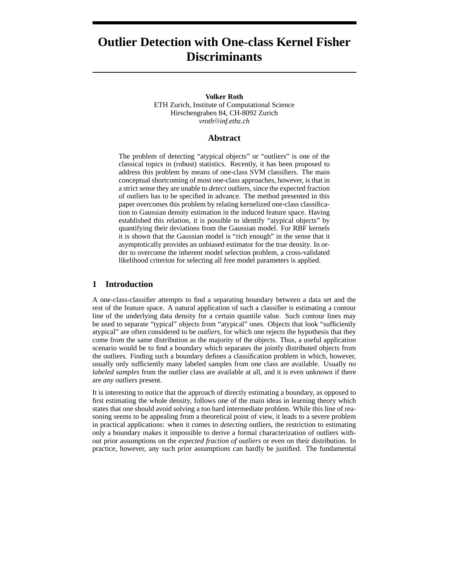# **Outlier Detection with One-class Kernel Fisher Discriminants**

#### **Volker Roth**

ETH Zurich, Institute of Computational Science Hirschengraben 84, CH-8092 Zurich *vroth*@*inf.ethz.ch*

## **Abstract**

The problem of detecting "atypical objects" or "outliers" is one of the classical topics in (robust) statistics. Recently, it has been proposed to address this problem by means of one-class SVM classifiers. The main conceptual shortcoming of most one-class approaches, however, is that in a strict sense they are unable to *detect* outliers, since the expected fraction of outliers has to be specified in advance. The method presented in this paper overcomes this problem by relating kernelized one-class classification to Gaussian density estimation in the induced feature space. Having established this relation, it is possible to identify "atypical objects" by quantifying their deviations from the Gaussian model. For RBF kernels it is shown that the Gaussian model is "rich enough" in the sense that it asymptotically provides an unbiased estimator for the true density. In order to overcome the inherent model selection problem, a cross-validated likelihood criterion for selecting all free model parameters is applied.

#### **1 Introduction**

A one-class-classifier attempts to find a separating boundary between a data set and the rest of the feature space. A natural application of such a classifier is estimating a contour line of the underlying data density for a certain quantile value. Such contour lines may be used to separate "typical" objects from "atypical" ones. Objects that look "sufficiently atypical" are often considered to be *outliers*, for which one rejects the hypothesis that they come from the same distribution as the majority of the objects. Thus, a useful application scenario would be to find a boundary which separates the jointly distributed objects from the outliers. Finding such a boundary defines a classification problem in which, however, usually only sufficiently many labeled samples from one class are available. Usually no *labeled samples* from the outlier class are available at all, and it is even unknown if there are *any* outliers present.

It is interesting to notice that the approach of directly estimating a boundary, as opposed to first estimating the whole density, follows one of the main ideas in learning theory which states that one should avoid solving a too hard intermediate problem. While this line of reasoning seems to be appealing from a theoretical point of view, it leads to a severe problem in practical applications: when it comes to *detecting* outliers, the restriction to estimating only a boundary makes it impossible to derive a formal characterization of outliers without prior assumptions on the *expected fraction of outliers* or even on their distribution. In practice, however, any such prior assumptions can hardly be justified. The fundamental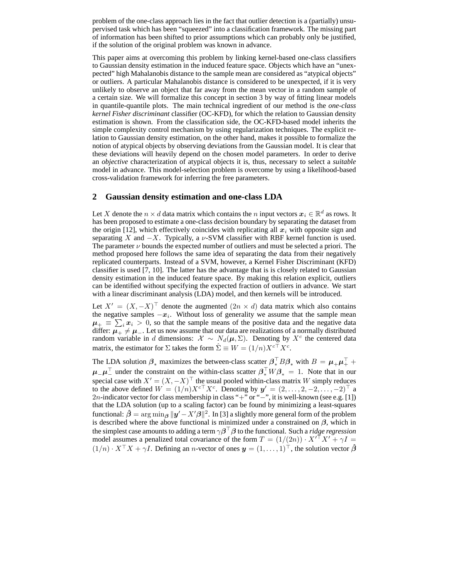problem of the one-class approach lies in the fact that outlier detection is a (partially) unsupervised task which has been "squeezed" into a classification framework. The missing part of information has been shifted to prior assumptions which can probably only be justified, if the solution of the original problem was known in advance.

This paper aims at overcoming this problem by linking kernel-based one-class classifiers to Gaussian density estimation in the induced feature space. Objects which have an "unexpected" high Mahalanobis distance to the sample mean are considered as "atypical objects" or outliers. A particular Mahalanobis distance is considered to be unexpected, if it is very unlikely to observe an object that far away from the mean vector in a random sample of a certain size. We will formalize this concept in section 3 by way of fitting linear models in quantile-quantile plots. The main technical ingredient of our method is the *one-class kernel Fisher discriminant* classifier (OC-KFD), for which the relation to Gaussian density estimation is shown. From the classification side, the OC-KFD-based model inherits the simple complexity control mechanism by using regularization techniques. The explicit relation to Gaussian density estimation, on the other hand, makes it possible to formalize the notion of atypical objects by observing deviations from the Gaussian model. It is clear that these deviations will heavily depend on the chosen model parameters. In order to derive an *objective* characterization of atypical objects it is, thus, necessary to select a *suitable* model in advance. This model-selection problem is overcome by using a likelihood-based cross-validation framework for inferring the free parameters.

## **2 Gaussian density estimation and one-class LDA**

Let X denote the  $n \times d$  data matrix which contains the n input vectors  $x_i \in \mathbb{R}^d$  as rows. It has been proposed to estimate a one-class decision boundary by separating the dataset from the origin [12], which effectively coincides with replicating all  $x_i$  with opposite sign and separating X and  $-X$ . Typically, a v-SVM classifier with RBF kernel function is used. The parameter  $\nu$  bounds the expected number of outliers and must be selected a priori. The method proposed here follows the same idea of separating the data from their negatively replicated counterparts. Instead of a SVM, however, a Kernel Fisher Discriminant (KFD) classifier is used [7, 10]. The latter has the advantage that is is closely related to Gaussian density estimation in the induced feature space. By making this relation explicit, outliers can be identified without specifying the expected fraction of outliers in advance. We start with a linear discriminant analysis (LDA) model, and then kernels will be introduced.

Let  $X' = (X, -X)^{\top}$  denote the augmented  $(2n \times d)$  data matrix which also contains the negative samples  $-x_i$ . Without loss of generality we assume that the sample mean  $\mu_{+} \equiv \sum_{i} x_i > 0$ , so that the sample means of the positive data and the negative data differ:  $\mu_{+}^{\pm} \neq \mu_{-}$ . Let us now assume that our data are realizations of a normally distributed random variable in d dimensions:  $\mathcal{X} \sim N_d(\mu, \Sigma)$ . Denoting by  $X^c$  the centered data matrix, the estimator for  $\Sigma$  takes the form  $\hat{\Sigma} \equiv W = (1/n)X^{c\bar{\dagger}}X^{c}$ .

The LDA solution  $\beta_*$  maximizes the between-class scatter  $\beta_*^{\top} B \beta_*$  with  $B = \mu_* \mu_+^{\top} + \mu_*^{\top}$  $\mu^-\mu^-$  under the constraint on the within-class scatter  $\beta_*^{\top}W\beta_* = 1$ . Note that in our special case with  $X' = (X, -X)^{\top}$  the usual pooled within-class matrix W simply reduces to the above defined  $W = (1/n)X^{c\top}X^c$ . Denoting by  $y' = (2, \ldots, 2, -2, \ldots, -2)^\top$  a 2n-indicator vector for class membership in class "+" or "−", it is well-known (see e.g. [1]) that the LDA solution (up to a scaling factor) can be found by minimizing a least-squares functional:  $\hat{\beta} = \arg \min_{\beta} ||y' - X'\hat{\beta}||^2$ . In [3] a slightly more general form of the problem is described where the above functional is minimized under a constrained on  $\beta$ , which in the simplest case amounts to adding a term  $\gamma \beta^\top \beta$  to the functional. Such a *ridge regression* model assumes a penalized total covariance of the form  $T = (1/(2n)) \cdot X^{\prime\top} X' + \gamma I =$  $(1/n) \cdot X^{\top} X + \gamma I$ . Defining an *n*-vector of ones  $y = (1, \ldots, 1)^{\top}$ , the solution vector  $\hat{\beta}$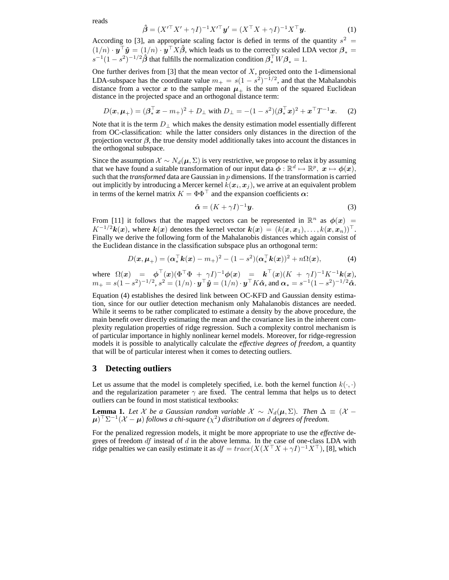$$
\hat{\boldsymbol{\beta}} = (X'^{\top} X' + \gamma I)^{-1} X'^{\top} \boldsymbol{y}' = (X^{\top} X + \gamma I)^{-1} X^{\top} \boldsymbol{y}.
$$
\n(1)

According to [3], an appropriate scaling factor is defied in terms of the quantity  $s^2 =$  $(1/n) \cdot y^{\top} \hat{y} = (1/n) \cdot y^{\top} X \hat{\beta}$ , which leads us to the correctly scaled LDA vector  $\beta_* =$  $s^{-1}(1-s^2)^{-1/2}\hat{\boldsymbol{\beta}}$  that fulfills the normalization condition  $\boldsymbol{\beta}_*^{\top}W\boldsymbol{\beta}_* = 1$ .

One further derives from  $[3]$  that the mean vector of  $X$ , projected onto the 1-dimensional LDA-subspace has the coordinate value  $m_+ = s(1 - s^2)^{-1/2}$ , and that the Mahalanobis distance from a vector x to the sample mean  $\mu$ <sub>+</sub> is the sum of the squared Euclidean distance in the projected space and an orthogonal distance term:

$$
D(\mathbf{x}, \boldsymbol{\mu}_{+}) = (\boldsymbol{\beta}_{*}^{\top} \mathbf{x} - m_{+})^{2} + D_{\perp} \text{ with } D_{\perp} = -(1 - s^{2})(\boldsymbol{\beta}_{*}^{\top} \mathbf{x})^{2} + \mathbf{x}^{\top} T^{-1} \mathbf{x}. \tag{2}
$$

Note that it is the term  $D_{\perp}$  which makes the density estimation model essentially different from OC-classification: while the latter considers only distances in the direction of the projection vector  $\beta$ , the true density model additionally takes into account the distances in the orthogonal subspace.

Since the assumption  $\mathcal{X} \sim N_d(\mu, \Sigma)$  is very restrictive, we propose to relax it by assuming that we have found a suitable transformation of our input data  $\phi : \mathbb{R}^d \mapsto \mathbb{R}^p$ ,  $x \mapsto \phi(x)$ , such that the *transformed* data are Gaussian in p dimensions. If the transformation is carried out implicitly by introducing a Mercer kernel  $k(\boldsymbol{x}_i, \boldsymbol{x}_j)$ , we arrive at an equivalent problem in terms of the kernel matrix  $K = \Phi \Phi^{\top}$  and the expansion coefficients  $\alpha$ :

$$
\hat{\alpha} = (K + \gamma I)^{-1} \mathbf{y}.\tag{3}
$$

From [11] it follows that the mapped vectors can be represented in  $\mathbb{R}^n$  as  $\phi(x)$  =  $K^{-1/2}k(x)$ , where  $k(x)$  denotes the kernel vector  $k(x) = (k(x, x_1), \ldots, k(x, x_n))^{\top}$ . Finally we derive the following form of the Mahalanobis distances which again consist of the Euclidean distance in the classification subspace plus an orthogonal term:

$$
D(\boldsymbol{x}, \boldsymbol{\mu}_+) = (\boldsymbol{\alpha}_*^{\top} \boldsymbol{k}(\boldsymbol{x}) - m_+)^2 - (1 - s^2)(\boldsymbol{\alpha}_*^{\top} \boldsymbol{k}(\boldsymbol{x}))^2 + n\Omega(\boldsymbol{x}), \tag{4}
$$

where  $\Omega(x) = \phi^{\top}(x)(\Phi^{\top}\Phi + \gamma I)^{-1}\phi(x) = \mathbf{k}^{\top}(x)(K + \gamma I)^{-1}K^{-1}\mathbf{k}(x),$  $m_+ = s(1-s^2)^{-1/2}, s^2 = (1/n) \cdot \bm{y}^\top \bm{\hat{y}} = (1/n) \cdot \bm{y}^\top K \bm{\hat{\alpha}}, \text{ and } \bm{\alpha}_* = s^{-1}(1-s^2)^{-1/2} \bm{\hat{\alpha}}.$ 

Equation (4) establishes the desired link between OC-KFD and Gaussian density estimation, since for our outlier detection mechanism only Mahalanobis distances are needed. While it seems to be rather complicated to estimate a density by the above procedure, the main benefit over directly estimating the mean and the covariance lies in the inherent complexity regulation properties of ridge regression. Such a complexity control mechanism is of particular importance in highly nonlinear kernel models. Moreover, for ridge-regression models it is possible to analytically calculate the *effective degrees of freedom*, a quantity that will be of particular interest when it comes to detecting outliers.

#### **3 Detecting outliers**

Let us assume that the model is completely specified, i.e. both the kernel function  $k(\cdot, \cdot)$ and the regularization parameter  $\gamma$  are fixed. The central lemma that helps us to detect outliers can be found in most statistical textbooks:

**Lemma 1.** Let X be a Gaussian random variable  $\mathcal{X} \sim N_d(\mu, \Sigma)$ . Then  $\Delta \equiv (\mathcal{X} - \Sigma)$  $\mu$ <sup>T</sup> $\Sigma^{-1}$ ( $X - \mu$ ) follows a chi-square ( $\chi^2$ ) distribution on d degrees of freedom.

For the penalized regression models, it might be more appropriate to use the *effective* degrees of freedom  $df$  instead of  $d$  in the above lemma. In the case of one-class LDA with ridge penalties we can easily estimate it as  $df = trace(X(X^{\top}X + \gamma I)^{-1}X^{\top})$ , [8], which

reads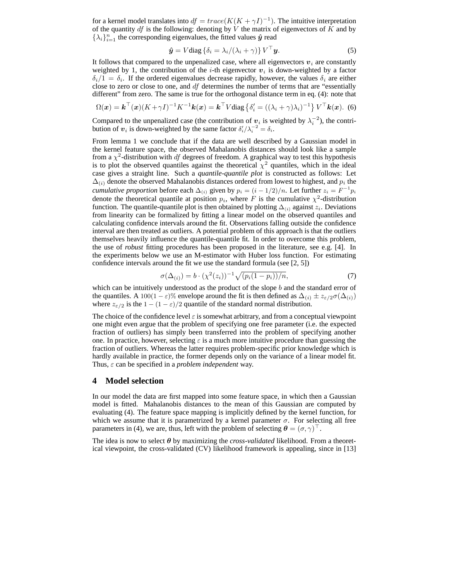for a kernel model translates into  $df = trace(K(K + \gamma I)^{-1})$ . The intuitive interpretation of the quantity  $df$  is the following: denoting by V the matrix of eigenvectors of K and by  $\{\lambda_i\}_{i=1}^n$  the corresponding eigenvalues, the fitted values  $\hat{y}$  read

$$
\hat{\boldsymbol{y}} = V \text{diag} \left\{ \delta_i = \lambda_i / (\lambda_i + \gamma) \right\} V^{\top} \boldsymbol{y}.
$$
 (5)

It follows that compared to the unpenalized case, where all eigenvectors  $v_i$  are constantly weighted by 1, the contribution of the *i*-th eigenvector  $v_i$  is down-weighted by a factor  $\delta_i/1 = \delta_i$ . If the ordered eigenvalues decrease rapidly, however, the values  $\delta_i$  are either close to zero or close to one, and df determines the number of terms that are "essentially different" from zero. The same is true for the orthogonal distance term in eq. (4): note that

$$
\Omega(\boldsymbol{x}) = \boldsymbol{k}^{\top}(\boldsymbol{x}) (K + \gamma I)^{-1} K^{-1} \boldsymbol{k}(\boldsymbol{x}) = \boldsymbol{k}^{\top} V \text{diag} \left\{ \delta_i' = \left( (\lambda_i + \gamma) \lambda_i \right)^{-1} \right\} V^{\top} \boldsymbol{k}(\boldsymbol{x}). \tag{6}
$$

Compared to the unpenalized case (the contribution of  $v_i$  is weighted by  $\lambda_i^{-2}$ ), the contribution of  $v_i$  is down-weighted by the same factor  $\delta_i'/\lambda_i^{-2} = \delta_i$ .

From lemma 1 we conclude that if the data are well described by a Gaussian model in the kernel feature space, the observed Mahalanobis distances should look like a sample from a  $\chi^2$ -distribution with *df* degrees of freedom. A graphical way to test this hypothesis is to plot the observed quantiles against the theoretical  $\chi^2$  quantiles, which in the ideal case gives a straight line. Such a *quantile-quantile plot* is constructed as follows: Let  $\Delta_{(i)}$  denote the observed Mahalanobis distances ordered from lowest to highest, and  $p_i$  the *cumulative proportion* before each  $\Delta_{(i)}$  given by  $p_i = (i - 1/2)/n$ . Let further  $z_i = F^{-1}p_i$ denote the theoretical quantile at position  $p_i$ , where F is the cumulative  $\chi^2$ -distribution function. The quantile-quantile plot is then obtained by plotting  $\Delta_{(i)}$  against  $z_i$ . Deviations from linearity can be formalized by fitting a linear model on the observed quantiles and calculating confidence intervals around the fit. Observations falling outside the confidence interval are then treated as outliers. A potential problem of this approach is that the outliers themselves heavily influence the quantile-quantile fit. In order to overcome this problem, the use of *robust* fitting procedures has been proposed in the literature, see e.g. [4]. In the experiments below we use an M-estimator with Huber loss function. For estimating confidence intervals around the fit we use the standard formula (see  $[2, 5]$ )

$$
\sigma(\Delta_{(i)}) = b \cdot (\chi^2(z_i))^{-1} \sqrt{(p_i(1 - p_i))/n},\tag{7}
$$

which can be intuitively understood as the product of the slope  $b$  and the standard error of the quantiles. A 100(1 –  $\varepsilon$ )% envelope around the fit is then defined as  $\Delta_{(i)} \pm z_{\varepsilon/2} \sigma(\Delta_{(i)})$ where  $z_{\varepsilon/2}$  is the 1 –  $(1 - \varepsilon)/2$  quantile of the standard normal distribution.

The choice of the confidence level  $\varepsilon$  is somewhat arbitrary, and from a conceptual viewpoint one might even argue that the problem of specifying one free parameter (i.e. the expected fraction of outliers) has simply been transferred into the problem of specifying another one. In practice, however, selecting  $\varepsilon$  is a much more intuitive procedure than guessing the fraction of outliers. Whereas the latter requires problem-specific prior knowledge which is hardly available in practice, the former depends only on the variance of a linear model fit. Thus, ε can be specified in a *problem independent* way.

## **4 Model selection**

In our model the data are first mapped into some feature space, in which then a Gaussian model is fitted. Mahalanobis distances to the mean of this Gaussian are computed by evaluating (4). The feature space mapping is implicitly defined by the kernel function, for which we assume that it is parametrized by a kernel parameter  $\sigma$ . For selecting all free parameters in (4), we are, thus, left with the problem of selecting  $\boldsymbol{\theta} = (\sigma, \gamma)^{\top}$ .

The idea is now to select  $\theta$  by maximizing the *cross-validated* likelihood. From a theoretical viewpoint, the cross-validated (CV) likelihood framework is appealing, since in [13]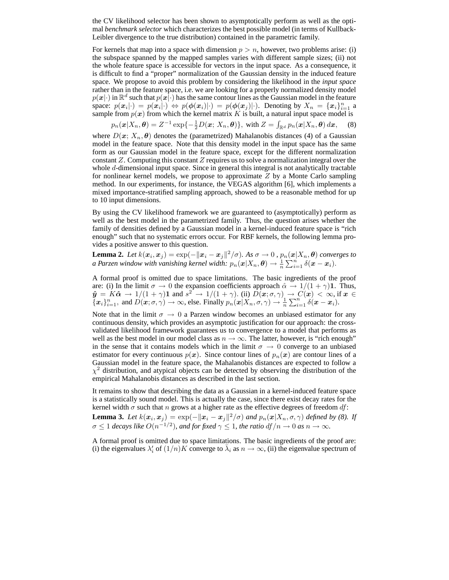the CV likelihood selector has been shown to asymptotically perform as well as the optimal *benchmark selector* which characterizes the best possible model (in terms of Kullback-Leibler divergence to the true distribution) contained in the parametric family.

For kernels that map into a space with dimension  $p > n$ , however, two problems arise: (i) the subspace spanned by the mapped samples varies with different sample sizes; (ii) not the whole feature space is accessible for vectors in the input space. As a consequence, it is difficult to find a "proper" normalization of the Gaussian density in the induced feature space. We propose to avoid this problem by considering the likelihood in the *input space* rather than in the feature space, i.e. we are looking for a properly normalized density model  $p(x|\cdot)$  in  $\mathbb{R}^d$  such that  $p(x|\cdot)$  has the same contour lines as the Gaussian model in the feature space:  $p(x_i|\cdot) = p(x_i|\cdot) \Leftrightarrow p(\phi(x_i)|\cdot) = p(\phi(x_j)|\cdot)$ . Denoting by  $X_n = \{x_i\}_{i=1}^n$  a sample from  $p(x)$  from which the kernel matrix K is built, a natural input space model is

$$
p_n(\boldsymbol{x}|X_n,\boldsymbol{\theta}) = Z^{-1} \exp\{-\frac{1}{2}D(\boldsymbol{x};\,X_n,\boldsymbol{\theta})\},\,\,\text{with}\,\,Z = \int_{\mathbb{R}^d} p_n(\boldsymbol{x}|X_n,\boldsymbol{\theta})\,d\boldsymbol{x},\quad \, (8)
$$

where  $D(x; X_n, \theta)$  denotes the (parametrized) Mahalanobis distances (4) of a Gaussian model in the feature space. Note that this density model in the input space has the same form as our Gaussian model in the feature space, except for the different normalization constant  $Z$ . Computing this constant  $Z$  requires us to solve a normalization integral over the whole d-dimensional input space. Since in general this integral is not analytically tractable for nonlinear kernel models, we propose to approximate  $Z$  by a Monte Carlo sampling method. In our experiments, for instance, the VEGAS algorithm [6], which implements a mixed importance-stratified sampling approach, showed to be a reasonable method for up to 10 input dimensions.

By using the CV likelihood framework we are guaranteed to (asymptotically) perform as well as the best model in the parametrized family. Thus, the question arises whether the family of densities defined by a Gaussian model in a kernel-induced feature space is "rich enough" such that no systematic errors occur. For RBF kernels, the following lemma provides a positive answer to this question.

**Lemma 2.** Let  $k(\bm{x}_i, \bm{x}_j) = \exp(-\|\bm{x}_i - \bm{x}_j\|^2 / \sigma)$ . As  $\sigma \to 0$  ,  $p_n(\bm{x}|X_n, \bm{\theta})$  converges to *a Parzen window with vanishing kernel width:*  $p_n(\pmb{x}|X_n,\pmb{\theta}) \rightarrow \frac{1}{n}\sum_{i=1}^n \delta(\pmb{x}-\pmb{x}_i).$ 

A formal proof is omitted due to space limitations. The basic ingredients of the proof are: (i) In the limit  $\sigma \to 0$  the expansion coefficients approach  $\hat{\alpha} \to 1/(1+\gamma)\mathbf{1}$ . Thus,  $\hat{\mathbf{y}} = K\hat{\boldsymbol{\alpha}} \rightarrow 1/(1+\gamma)\mathbf{1}$  and  $s^2 \rightarrow 1/(1+\gamma)$ . (ii)  $\hat{D}(\mathbf{x}; \sigma, \gamma) \rightarrow C(\hat{\mathbf{x}}) < \infty$ , if  $\mathbf{x} \in$  $\{x_i\}_{i=1}^n$ , and  $D(x;\sigma,\gamma) \to \infty$ , else. Finally  $p_n(x|X_n,\sigma,\gamma) \to \frac{1}{n} \sum_{i=1}^n \delta(x-x_i)$ .

Note that in the limit  $\sigma \to 0$  a Parzen window becomes an unbiased estimator for any continuous density, which provides an asymptotic justification for our approach: the crossvalidated likelihood framework guarantees us to convergence to a model that performs as well as the best model in our model class as  $n \to \infty$ . The latter, however, is "rich enough" in the sense that it contains models which in the limit  $\sigma \to 0$  converge to an unbiased estimator for every continuous  $p(x)$ . Since contour lines of  $p_n(x)$  are contour lines of a Gaussian model in the feature space, the Mahalanobis distances are expected to follow a  $\chi^2$  distribution, and atypical objects can be detected by observing the distribution of the empirical Mahalanobis distances as described in the last section.

It remains to show that describing the data as a Gaussian in a kernel-induced feature space is a statistically sound model. This is actually the case, since there exist decay rates for the kernel width  $\sigma$  such that n grows at a higher rate as the effective degrees of freedom df:

**Lemma 3.** Let  $k(x_i, x_j) = \exp(-\|\mathbf{x}_i - \mathbf{x}_j\|^2/\sigma)$  and  $p_n(\mathbf{x}|X_n, \sigma, \gamma)$  defined by (8). If  $\sigma \leq 1$  decays like  $O(n^{-1/2})$ , and for fixed  $\gamma \leq 1$ , the ratio df  $/n \to 0$  as  $n \to \infty$ .

A formal proof is omitted due to space limitations. The basic ingredients of the proof are: (i) the eigenvalues  $\lambda'_i$  of  $(1/n)K$  converge to  $\overline{\lambda}_i$  as  $n \to \infty$ , (ii) the eigenvalue spectrum of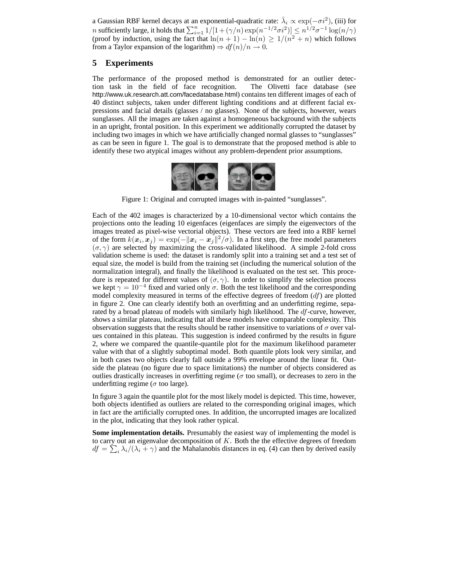a Gaussian RBF kernel decays at an exponential-quadratic rate:  $\bar{\lambda}_i \propto \exp(-\sigma i^2)$ , (iii) for *n* sufficiently large, it holds that  $\sum_{i=1}^{n} 1/(1+(\gamma/n)\exp(n^{-1/2}\sigma i^2)] \leq n^{1/2}\sigma^{-1} \log(n/\gamma)$ (proof by induction, using the fact that  $\ln(n + 1) - \ln(n) \ge 1/(n^2 + n)$  which follows from a Taylor expansion of the logarithm)  $\Rightarrow df(n)/n \rightarrow 0$ .

## **5 Experiments**

The performance of the proposed method is demonstrated for an outlier detection task in the field of face recognition. The Olivetti face database (see http://www.uk.research.att.com/facedatabase.html) contains ten different images of each of 40 distinct subjects, taken under different lighting conditions and at different facial expressions and facial details (glasses / no glasses). None of the subjects, however, wears sunglasses. All the images are taken against a homogeneous background with the subjects in an upright, frontal position. In this experiment we additionally corrupted the dataset by including two images in which we have artificially changed normal glasses to "sunglasses" as can be seen in figure 1. The goal is to demonstrate that the proposed method is able to identify these two atypical images without any problem-dependent prior assumptions.



Figure 1: Original and corrupted images with in-painted "sunglasses".

Each of the 402 images is characterized by a 10-dimensional vector which contains the projections onto the leading 10 eigenfaces (eigenfaces are simply the eigenvectors of the images treated as pixel-wise vectorial objects). These vectors are feed into a RBF kernel of the form  $k(x_i, x_j) = \exp(-||x_i - x_j||^2/\sigma)$ . In a first step, the free model parameters  $(\sigma, \gamma)$  are selected by maximizing the cross-validated likelihood. A simple 2-fold cross validation scheme is used: the dataset is randomly split into a training set and a test set of equal size, the model is build from the training set (including the numerical solution of the normalization integral), and finally the likelihood is evaluated on the test set. This procedure is repeated for different values of  $(\sigma, \gamma)$ . In order to simplify the selection process we kept  $\gamma = 10^{-4}$  fixed and varied only  $\sigma$ . Both the test likelihood and the corresponding model complexity measured in terms of the effective degrees of freedom  $(df)$  are plotted in figure 2. One can clearly identify both an overfitting and an underfitting regime, separated by a broad plateau of models with similarly high likelihood. The  $df$ -curve, however, shows a similar plateau, indicating that all these models have comparable complexity. This observation suggests that the results should be rather insensitive to variations of  $\sigma$  over values contained in this plateau. This suggestion is indeed confirmed by the results in figure 2, where we compared the quantile-quantile plot for the maximum likelihood parameter value with that of a slightly suboptimal model. Both quantile plots look very similar, and in both cases two objects clearly fall outside a 99% envelope around the linear fit. Outside the plateau (no figure due to space limitations) the number of objects considered as outlies drastically increases in overfitting regime ( $\sigma$  too small), or decreases to zero in the underfitting regime ( $\sigma$  too large).

In figure 3 again the quantile plot for the most likely model is depicted. This time, however, both objects identified as outliers are related to the corresponding original images, which in fact are the artificially corrupted ones. In addition, the uncorrupted images are localized in the plot, indicating that they look rather typical.

**Some implementation details.** Presumably the easiest way of implementing the model is to carry out an eigenvalue decomposition of  $K$ . Both the the effective degrees of freedom  $df = \sum_i \lambda_i/(\lambda_i + \gamma)$  and the Mahalanobis distances in eq. (4) can then by derived easily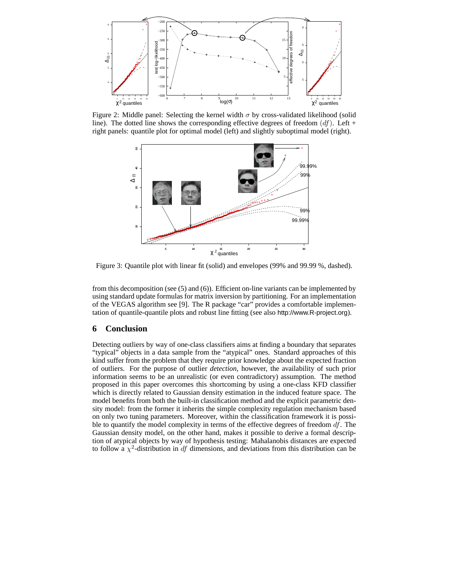

Figure 2: Middle panel: Selecting the kernel width  $\sigma$  by cross-validated likelihood (solid line). The dotted line shows the corresponding effective degrees of freedom  $(df)$ . Left + right panels: quantile plot for optimal model (left) and slightly suboptimal model (right).



Figure 3: Quantile plot with linear fit (solid) and envelopes (99% and 99.99 %, dashed).

from this decomposition (see (5) and (6)). Efficient on-line variants can be implemented by using standard update formulas for matrix inversion by partitioning. For an implementation of the VEGAS algorithm see [9]. The R package "car" provides a comfortable implementation of quantile-quantile plots and robust line fitting (see also http://www.R-project.org).

## **6 Conclusion**

Detecting outliers by way of one-class classifiers aims at finding a boundary that separates "typical" objects in a data sample from the "atypical" ones. Standard approaches of this kind suffer from the problem that they require prior knowledge about the expected fraction of outliers. For the purpose of outlier *detection*, however, the availability of such prior information seems to be an unrealistic (or even contradictory) assumption. The method proposed in this paper overcomes this shortcoming by using a one-class KFD classifier which is directly related to Gaussian density estimation in the induced feature space. The model benefits from both the built-in classification method and the explicit parametric density model: from the former it inherits the simple complexity regulation mechanism based on only two tuning parameters. Moreover, within the classification framework it is possible to quantify the model complexity in terms of the effective degrees of freedom  $df$ . The Gaussian density model, on the other hand, makes it possible to derive a formal description of atypical objects by way of hypothesis testing: Mahalanobis distances are expected to follow a  $\chi^2$ -distribution in df dimensions, and deviations from this distribution can be